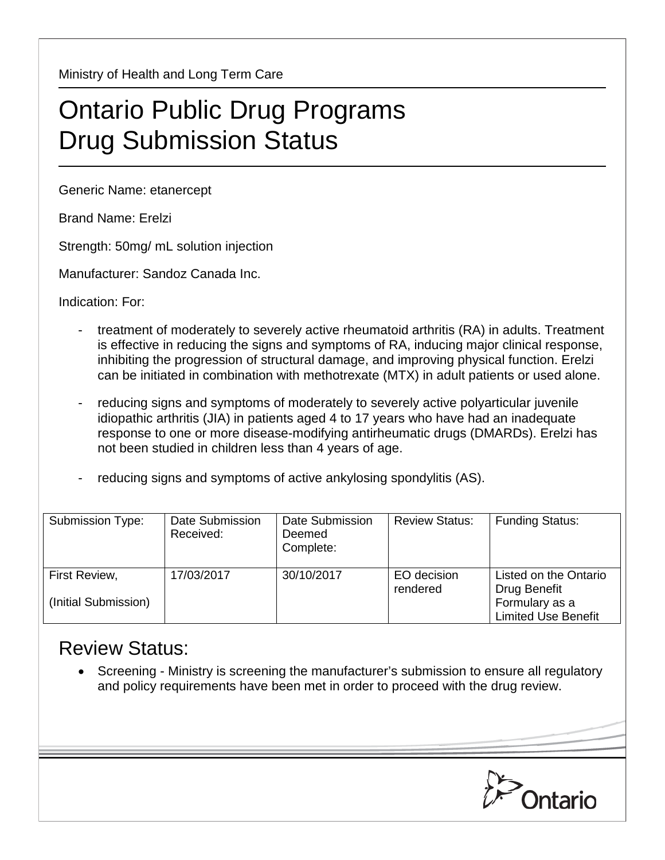Ministry of Health and Long Term Care

## Ontario Public Drug Programs Drug Submission Status

Generic Name: etanercept

Brand Name: Erelzi

Strength: 50mg/ mL solution injection

Manufacturer: Sandoz Canada Inc.

Indication: For:

- treatment of moderately to severely active rheumatoid arthritis (RA) in adults. Treatment is effective in reducing the signs and symptoms of RA, inducing major clinical response, inhibiting the progression of structural damage, and improving physical function. Erelzi can be initiated in combination with methotrexate (MTX) in adult patients or used alone.
- reducing signs and symptoms of moderately to severely active polyarticular juvenile idiopathic arthritis (JIA) in patients aged 4 to 17 years who have had an inadequate response to one or more disease-modifying antirheumatic drugs (DMARDs). Erelzi has not been studied in children less than 4 years of age.
- reducing signs and symptoms of active ankylosing spondylitis (AS).

| Submission Type:                      | Date Submission<br>Received: | Date Submission<br>Deemed<br>Complete: | <b>Review Status:</b>   | <b>Funding Status:</b>                                                                |
|---------------------------------------|------------------------------|----------------------------------------|-------------------------|---------------------------------------------------------------------------------------|
| First Review,<br>(Initial Submission) | 17/03/2017                   | 30/10/2017                             | EO decision<br>rendered | Listed on the Ontario<br>Drug Benefit<br>Formulary as a<br><b>Limited Use Benefit</b> |

## Review Status:

• Screening - Ministry is screening the manufacturer's submission to ensure all regulatory and policy requirements have been met in order to proceed with the drug review.